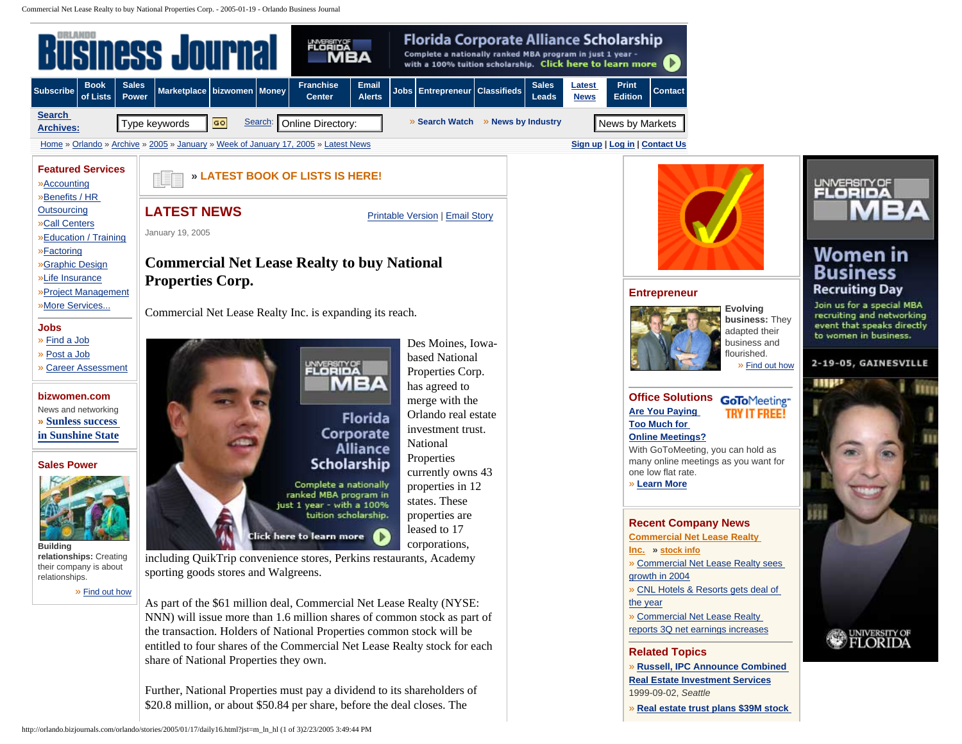Commercial Net Lease Realty to buy National Properties Corp. - 2005-01-19 - Orlando Business Journal

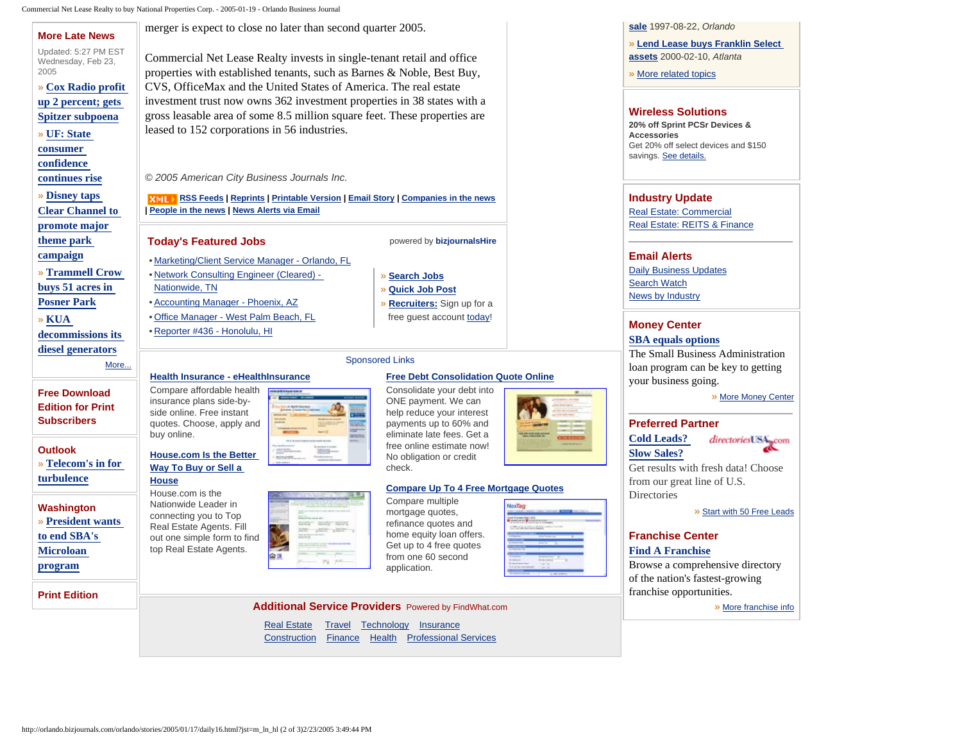Commercial Net Lease Realty to buy National Properties Corp. - 2005-01-19 - Orlando Business Journal

| <b>More Late News</b>                                                  | merger is expect to close no later than second quarter 2005.                                                                                     |                                                                                                          | sale 1997-08-22, Orlando                            |                                                                            |
|------------------------------------------------------------------------|--------------------------------------------------------------------------------------------------------------------------------------------------|----------------------------------------------------------------------------------------------------------|-----------------------------------------------------|----------------------------------------------------------------------------|
| Updated: 5:27 PM EST<br>Wednesday, Feb 23,<br>2005                     | Commercial Net Lease Realty invests in single-tenant retail and office<br>properties with established tenants, such as Barnes & Noble, Best Buy, | » Lend Lease buys Franklin Select<br>assets 2000-02-10, Atlanta<br>» More related topics                 |                                                     |                                                                            |
| » Cox Radio profit<br>up 2 percent; gets                               | CVS, OfficeMax and the United States of America. The real estate<br>investment trust now owns 362 investment properties in 38 states with a      |                                                                                                          |                                                     |                                                                            |
| Spitzer subpoena                                                       | gross leasable area of some 8.5 million square feet. These properties are                                                                        |                                                                                                          | <b>Wireless Solutions</b>                           |                                                                            |
| » UF: State                                                            | leased to 152 corporations in 56 industries.                                                                                                     |                                                                                                          | 20% off Sprint PCSr Devices &<br><b>Accessories</b> |                                                                            |
| consumer                                                               |                                                                                                                                                  | Get 20% off select devices and \$150                                                                     |                                                     |                                                                            |
| confidence                                                             |                                                                                                                                                  |                                                                                                          |                                                     | savings. See details.                                                      |
| continues rise                                                         | © 2005 American City Business Journals Inc.                                                                                                      |                                                                                                          |                                                     |                                                                            |
| » Disney taps                                                          | <b>RMIT RSS Feeds   Reprints   Printable Version   Email Story   Companies in the news</b>                                                       |                                                                                                          | <b>Industry Update</b>                              |                                                                            |
| <b>Clear Channel to</b>                                                | People in the news   News Alerts via Email                                                                                                       | <b>Real Estate: Commercial</b>                                                                           |                                                     |                                                                            |
| promote major                                                          |                                                                                                                                                  |                                                                                                          |                                                     | Real Estate: REITS & Finance                                               |
| theme park                                                             | <b>Today's Featured Jobs</b>                                                                                                                     | powered by bizjournalsHire                                                                               |                                                     |                                                                            |
| campaign                                                               | • Marketing/Client Service Manager - Orlando, FL                                                                                                 |                                                                                                          |                                                     | <b>Email Alerts</b>                                                        |
| » Trammell Crow                                                        | • Network Consulting Engineer (Cleared) -                                                                                                        | » Search Jobs                                                                                            |                                                     | <b>Daily Business Updates</b>                                              |
| buys 51 acres in                                                       | Nationwide, TN                                                                                                                                   | » Quick Job Post                                                                                         |                                                     | <b>Search Watch</b><br>News by Industry                                    |
| <b>Posner Park</b>                                                     | • Accounting Manager - Phoenix, AZ                                                                                                               | » Recruiters: Sign up for a                                                                              |                                                     |                                                                            |
| » KUA                                                                  | • Office Manager - West Palm Beach, FL                                                                                                           | free quest account today!                                                                                |                                                     | <b>Money Center</b>                                                        |
| decommissions its                                                      | • Reporter #436 - Honolulu, HI                                                                                                                   |                                                                                                          |                                                     | <b>SBA</b> equals options                                                  |
| diesel generators                                                      |                                                                                                                                                  |                                                                                                          | The Small Business Administration                   |                                                                            |
| More                                                                   | <b>Sponsored Links</b>                                                                                                                           |                                                                                                          | loan program can be key to getting                  |                                                                            |
|                                                                        | Health Insurance - eHealthInsurance<br>Compare affordable health                                                                                 | <b>Free Debt Consolidation Quote Online</b><br>Consolidate your debt into                                |                                                     | your business going.                                                       |
| <b>Free Download</b><br><b>Edition for Print</b><br><b>Subscribers</b> | insurance plans side-by-<br>side online. Free instant<br>quotes. Choose, apply and<br><b>Time</b><br>buy online.                                 | ONE payment. We can<br>help reduce your interest<br>payments up to 60% and<br>eliminate late fees. Get a |                                                     | » More Money Center<br><b>Preferred Partner</b>                            |
| <b>Outlook</b>                                                         |                                                                                                                                                  | free online estimate now!                                                                                |                                                     | <b>Cold Leads?</b><br>directoriesUSA <sub>pcom</sub><br><b>Slow Sales?</b> |
| » Telecom's in for                                                     | <b>House.com Is the Better</b><br>Way To Buy or Sell a                                                                                           | No obligation or credit<br>check.                                                                        |                                                     | Get results with fresh data! Choose                                        |
| turbulence                                                             | <b>House</b>                                                                                                                                     |                                                                                                          |                                                     | from our great line of U.S.                                                |
| Washington                                                             | House.com is the<br>Nationwide Leader in<br>connecting you to Top                                                                                | <b>Compare Up To 4 Free Mortgage Quotes</b><br>Compare multiple<br>mortgage quotes,                      | NexTag                                              | Directories<br>» Start with 50 Free Leads                                  |
| » President wants                                                      | <b>SENIOR REGIST</b><br>Real Estate Agents. Fill<br>LIST CONT                                                                                    | refinance quotes and                                                                                     |                                                     |                                                                            |
| to end SBA's                                                           | out one simple form to find<br>top Real Estate Agents.                                                                                           | home equity loan offers.<br>Get up to 4 free quotes                                                      |                                                     | <b>Franchise Center</b>                                                    |
| <b>Microloan</b>                                                       | @≞                                                                                                                                               | from one 60 second                                                                                       |                                                     | <b>Find A Franchise</b><br>Browse a comprehensive directory                |
| program                                                                |                                                                                                                                                  | application.                                                                                             |                                                     | of the nation's fastest-growing                                            |
| <b>Print Edition</b>                                                   |                                                                                                                                                  |                                                                                                          |                                                     | franchise opportunities.                                                   |
|                                                                        | <b>Additional Service Providers</b> Powered by FindWhat.com                                                                                      | » More franchise info                                                                                    |                                                     |                                                                            |
|                                                                        |                                                                                                                                                  |                                                                                                          |                                                     |                                                                            |
|                                                                        | <b>Real Estate</b>                                                                                                                               | Travel Technology Insurance                                                                              |                                                     |                                                                            |